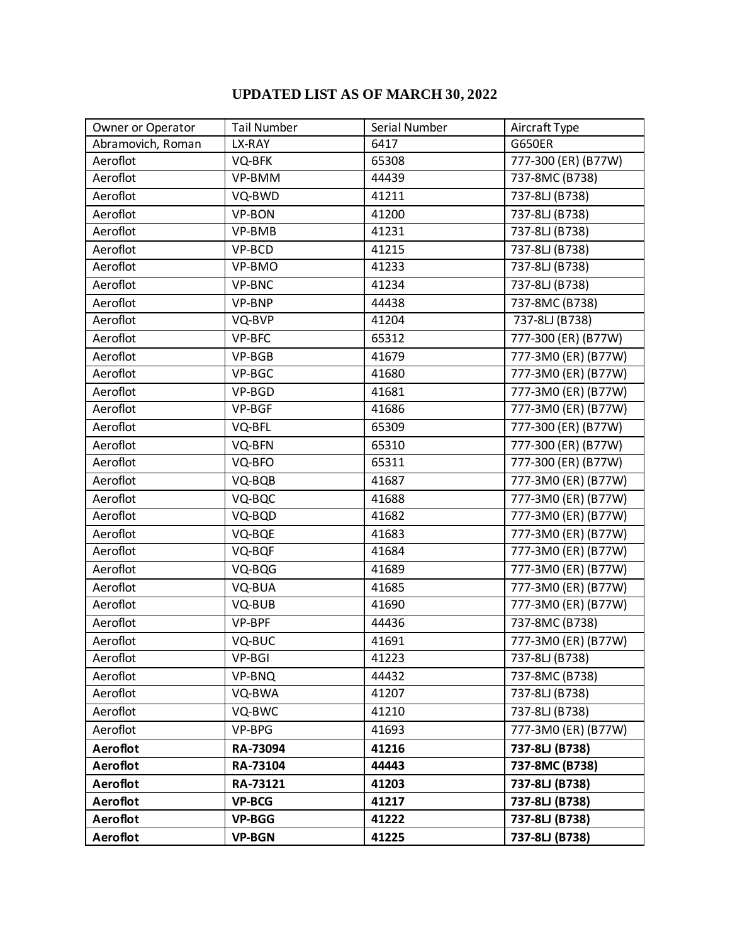## **UPDATED LIST AS OF MARCH 30, 2022**

| Owner or Operator | <b>Tail Number</b> | Serial Number | Aircraft Type       |
|-------------------|--------------------|---------------|---------------------|
| Abramovich, Roman | LX-RAY             | 6417          | <b>G650ER</b>       |
| Aeroflot          | VQ-BFK             | 65308         | 777-300 (ER) (B77W) |
| Aeroflot          | VP-BMM             | 44439         | 737-8MC (B738)      |
| Aeroflot          | VQ-BWD             | 41211         | 737-8LJ (B738)      |
| Aeroflot          | VP-BON             | 41200         | 737-8LJ (B738)      |
| Aeroflot          | VP-BMB             | 41231         | 737-8LJ (B738)      |
| Aeroflot          | VP-BCD             | 41215         | 737-8LJ (B738)      |
| Aeroflot          | VP-BMO             | 41233         | 737-8LJ (B738)      |
| Aeroflot          | <b>VP-BNC</b>      | 41234         | 737-8LJ (B738)      |
| Aeroflot          | VP-BNP             | 44438         | 737-8MC (B738)      |
| Aeroflot          | VQ-BVP             | 41204         | 737-8LJ (B738)      |
| Aeroflot          | VP-BFC             | 65312         | 777-300 (ER) (B77W) |
| Aeroflot          | VP-BGB             | 41679         | 777-3M0 (ER) (B77W) |
| Aeroflot          | VP-BGC             | 41680         | 777-3M0 (ER) (B77W) |
| Aeroflot          | VP-BGD             | 41681         | 777-3M0 (ER) (B77W) |
| Aeroflot          | VP-BGF             | 41686         | 777-3M0 (ER) (B77W) |
| Aeroflot          | VQ-BFL             | 65309         | 777-300 (ER) (B77W) |
| Aeroflot          | VQ-BFN             | 65310         | 777-300 (ER) (B77W) |
| Aeroflot          | VQ-BFO             | 65311         | 777-300 (ER) (B77W) |
| Aeroflot          | VQ-BQB             | 41687         | 777-3M0 (ER) (B77W) |
| Aeroflot          | VQ-BQC             | 41688         | 777-3M0 (ER) (B77W) |
| Aeroflot          | VQ-BQD             | 41682         | 777-3M0 (ER) (B77W) |
| Aeroflot          | VQ-BQE             | 41683         | 777-3M0 (ER) (B77W) |
| Aeroflot          | VQ-BQF             | 41684         | 777-3M0 (ER) (B77W) |
| Aeroflot          | VQ-BQG             | 41689         | 777-3M0 (ER) (B77W) |
| Aeroflot          | VQ-BUA             | 41685         | 777-3M0 (ER) (B77W) |
| Aeroflot          | VQ-BUB             | 41690         | 777-3M0 (ER) (B77W) |
| Aeroflot          | VP-BPF             | 44436         | 737-8MC (B738)      |
| Aeroflot          | VQ-BUC             | 41691         | 777-3M0 (ER) (B77W) |
| Aeroflot          | VP-BGI             | 41223         | 737-8LJ (B738)      |
| Aeroflot          | VP-BNQ             | 44432         | 737-8MC (B738)      |
| Aeroflot          | VQ-BWA             | 41207         | 737-8LJ (B738)      |
| Aeroflot          | VQ-BWC             | 41210         | 737-8LJ (B738)      |
| Aeroflot          | VP-BPG             | 41693         | 777-3M0 (ER) (B77W) |
| <b>Aeroflot</b>   | RA-73094           | 41216         | 737-8LJ (B738)      |
| Aeroflot          | RA-73104           | 44443         | 737-8MC (B738)      |
| <b>Aeroflot</b>   | RA-73121           | 41203         | 737-8LJ (B738)      |
| Aeroflot          | <b>VP-BCG</b>      | 41217         | 737-8LJ (B738)      |
| Aeroflot          | <b>VP-BGG</b>      | 41222         | 737-8LJ (B738)      |
| Aeroflot          | <b>VP-BGN</b>      | 41225         | 737-8LJ (B738)      |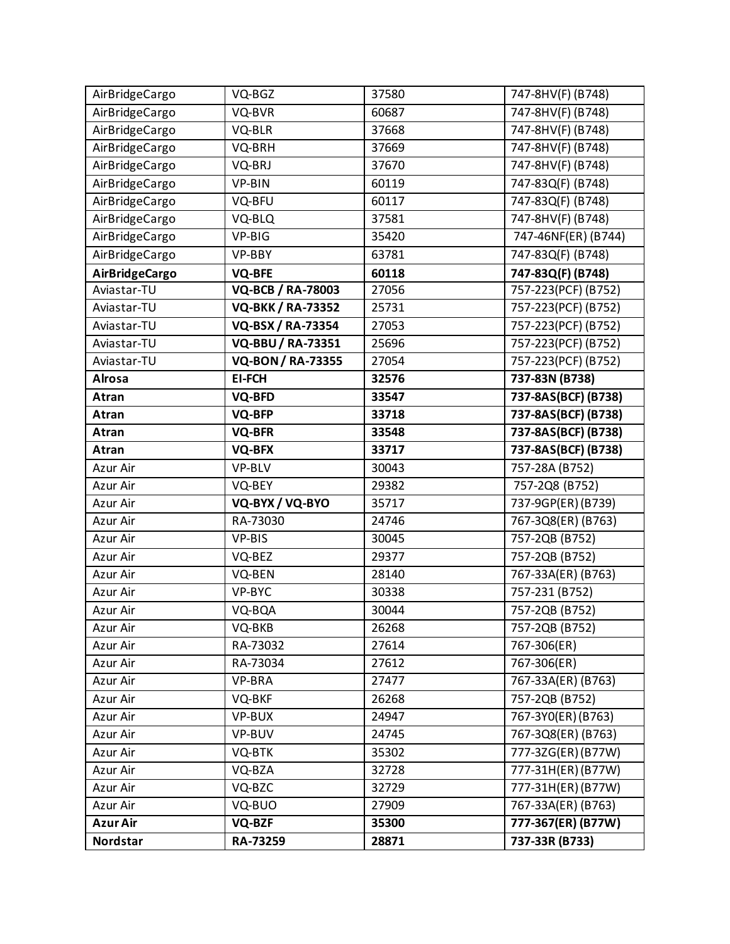| AirBridgeCargo        | VQ-BGZ                   | 37580 | 747-8HV(F) (B748)   |
|-----------------------|--------------------------|-------|---------------------|
| AirBridgeCargo        | VQ-BVR                   | 60687 | 747-8HV(F) (B748)   |
| AirBridgeCargo        | VQ-BLR                   | 37668 | 747-8HV(F) (B748)   |
| AirBridgeCargo        | VQ-BRH                   | 37669 | 747-8HV(F) (B748)   |
| AirBridgeCargo        | VQ-BRJ                   | 37670 | 747-8HV(F) (B748)   |
| AirBridgeCargo        | VP-BIN                   | 60119 | 747-83Q(F) (B748)   |
| AirBridgeCargo        | VQ-BFU                   | 60117 | 747-83Q(F) (B748)   |
| AirBridgeCargo        | VQ-BLQ                   | 37581 | 747-8HV(F) (B748)   |
| AirBridgeCargo        | VP-BIG                   | 35420 | 747-46NF(ER) (B744) |
| AirBridgeCargo        | VP-BBY                   | 63781 | 747-83Q(F) (B748)   |
| <b>AirBridgeCargo</b> | <b>VQ-BFE</b>            | 60118 | 747-83Q(F) (B748)   |
| Aviastar-TU           | <b>VQ-BCB / RA-78003</b> | 27056 | 757-223(PCF) (B752) |
| Aviastar-TU           | <b>VQ-BKK / RA-73352</b> | 25731 | 757-223(PCF) (B752) |
| Aviastar-TU           | VQ-BSX / RA-73354        | 27053 | 757-223(PCF) (B752) |
| Aviastar-TU           | <b>VQ-BBU / RA-73351</b> | 25696 | 757-223(PCF) (B752) |
| Aviastar-TU           | <b>VQ-BON/RA-73355</b>   | 27054 | 757-223(PCF) (B752) |
| <b>Alrosa</b>         | <b>EI-FCH</b>            | 32576 | 737-83N (B738)      |
| Atran                 | VQ-BFD                   | 33547 | 737-8AS(BCF) (B738) |
| Atran                 | VQ-BFP                   | 33718 | 737-8AS(BCF) (B738) |
| Atran                 | <b>VQ-BFR</b>            | 33548 | 737-8AS(BCF) (B738) |
| Atran                 | VQ-BFX                   | 33717 | 737-8AS(BCF) (B738) |
| Azur Air              | VP-BLV                   | 30043 | 757-28A (B752)      |
| Azur Air              | VQ-BEY                   | 29382 | 757-2Q8 (B752)      |
| Azur Air              | VQ-BYX / VQ-BYO          | 35717 | 737-9GP(ER)(B739)   |
| Azur Air              | RA-73030                 | 24746 | 767-3Q8(ER) (B763)  |
| Azur Air              | VP-BIS                   | 30045 | 757-2QB (B752)      |
| Azur Air              | VQ-BEZ                   | 29377 | 757-2QB (B752)      |
| Azur Air              | VQ-BEN                   | 28140 | 767-33A(ER) (B763)  |
| Azur Air              | VP-BYC                   | 30338 | 757-231 (B752)      |
| Azur Air              | VQ-BQA                   | 30044 | 757-2QB (B752)      |
| Azur Air              | VQ-BKB                   | 26268 | 757-2QB (B752)      |
| Azur Air              | RA-73032                 | 27614 | 767-306(ER)         |
| Azur Air              | RA-73034                 | 27612 | 767-306(ER)         |
| Azur Air              | VP-BRA                   | 27477 | 767-33A(ER) (B763)  |
| Azur Air              | VQ-BKF                   | 26268 | 757-2QB (B752)      |
| Azur Air              | VP-BUX                   | 24947 | 767-3Y0(ER)(B763)   |
| Azur Air              | VP-BUV                   | 24745 | 767-3Q8(ER) (B763)  |
| Azur Air              | VQ-BTK                   | 35302 | 777-3ZG(ER)(B77W)   |
| Azur Air              | VQ-BZA                   | 32728 | 777-31H(ER)(B77W)   |
| Azur Air              | VQ-BZC                   | 32729 | 777-31H(ER)(B77W)   |
| Azur Air              | VQ-BUO                   | 27909 | 767-33A(ER) (B763)  |
| <b>Azur Air</b>       | <b>VQ-BZF</b>            | 35300 | 777-367(ER) (B77W)  |
| Nordstar              | RA-73259                 | 28871 | 737-33R (B733)      |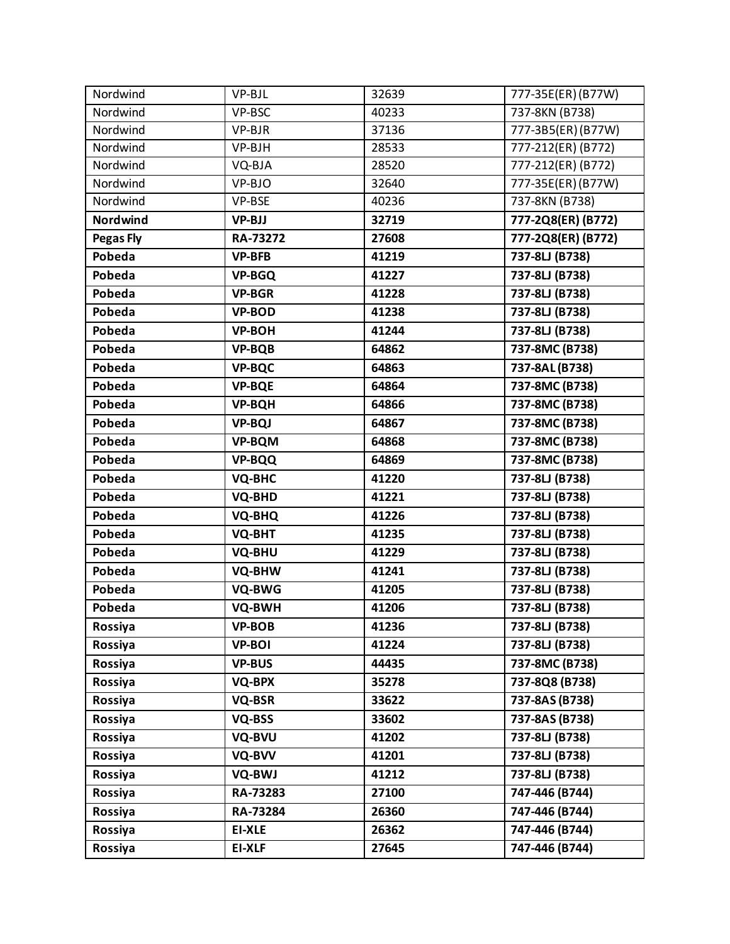| Nordwind         | VP-BJL        | 32639 | 777-35E(ER)(B77W)  |
|------------------|---------------|-------|--------------------|
| Nordwind         | VP-BSC        | 40233 | 737-8KN (B738)     |
| Nordwind         | VP-BJR        | 37136 | 777-3B5(ER)(B77W)  |
| Nordwind         | VP-BJH        | 28533 | 777-212(ER) (B772) |
| Nordwind         | VQ-BJA        | 28520 | 777-212(ER) (B772) |
| Nordwind         | VP-BJO        | 32640 | 777-35E(ER)(B77W)  |
| Nordwind         | VP-BSE        | 40236 | 737-8KN (B738)     |
| Nordwind         | <b>VP-BJJ</b> | 32719 | 777-2Q8(ER) (B772) |
| <b>Pegas Fly</b> | RA-73272      | 27608 | 777-2Q8(ER) (B772) |
| Pobeda           | <b>VP-BFB</b> | 41219 | 737-8LJ (B738)     |
| Pobeda           | <b>VP-BGQ</b> | 41227 | 737-8LJ (B738)     |
| Pobeda           | <b>VP-BGR</b> | 41228 | 737-8LJ (B738)     |
| Pobeda           | <b>VP-BOD</b> | 41238 | 737-8LJ (B738)     |
| Pobeda           | <b>VP-BOH</b> | 41244 | 737-8LJ (B738)     |
| Pobeda           | <b>VP-BQB</b> | 64862 | 737-8MC (B738)     |
| Pobeda           | <b>VP-BQC</b> | 64863 | 737-8AL (B738)     |
| Pobeda           | <b>VP-BQE</b> | 64864 | 737-8MC (B738)     |
| Pobeda           | <b>VP-BQH</b> | 64866 | 737-8MC (B738)     |
| Pobeda           | <b>VP-BQJ</b> | 64867 | 737-8MC (B738)     |
| Pobeda           | <b>VP-BQM</b> | 64868 | 737-8MC (B738)     |
| Pobeda           | <b>VP-BQQ</b> | 64869 | 737-8MC (B738)     |
| Pobeda           | <b>VQ-BHC</b> | 41220 | 737-8LJ (B738)     |
| Pobeda           | <b>VQ-BHD</b> | 41221 | 737-8LJ (B738)     |
| Pobeda           | <b>VQ-BHQ</b> | 41226 | 737-8LJ (B738)     |
| Pobeda           | VQ-BHT        | 41235 | 737-8LJ (B738)     |
| Pobeda           | <b>VQ-BHU</b> | 41229 | 737-8LJ (B738)     |
| Pobeda           | VQ-BHW        | 41241 | 737-8LJ (B738)     |
| Pobeda           | VQ-BWG        | 41205 | 737-8LJ (B738)     |
| Pobeda           | VQ-BWH        | 41206 | 737-8LJ (B738)     |
| Rossiya          | <b>VP-BOB</b> | 41236 | 737-8LJ (B738)     |
| Rossiya          | <b>VP-BOI</b> | 41224 | 737-8LJ (B738)     |
| Rossiya          | <b>VP-BUS</b> | 44435 | 737-8MC (B738)     |
| Rossiya          | <b>VQ-BPX</b> | 35278 | 737-8Q8 (B738)     |
| Rossiya          | VQ-BSR        | 33622 | 737-8AS (B738)     |
| Rossiya          | VQ-BSS        | 33602 | 737-8AS (B738)     |
| Rossiya          | VQ-BVU        | 41202 | 737-8LJ (B738)     |
| Rossiya          | VQ-BVV        | 41201 | 737-8LJ (B738)     |
| Rossiya          | VQ-BWJ        | 41212 | 737-8LJ (B738)     |
| Rossiya          | RA-73283      | 27100 | 747-446 (B744)     |
| Rossiya          | RA-73284      | 26360 | 747-446 (B744)     |
| Rossiya          | <b>EI-XLE</b> | 26362 | 747-446 (B744)     |
| Rossiya          | <b>EI-XLF</b> | 27645 | 747-446 (B744)     |